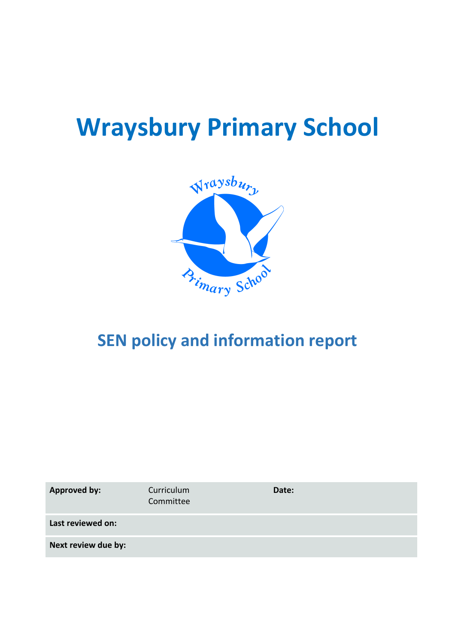# **Wraysbury Primary School**



# **SEN policy and information report**

| <b>Approved by:</b> | Curriculum<br>Committee | Date: |
|---------------------|-------------------------|-------|
| Last reviewed on:   |                         |       |
| Next review due by: |                         |       |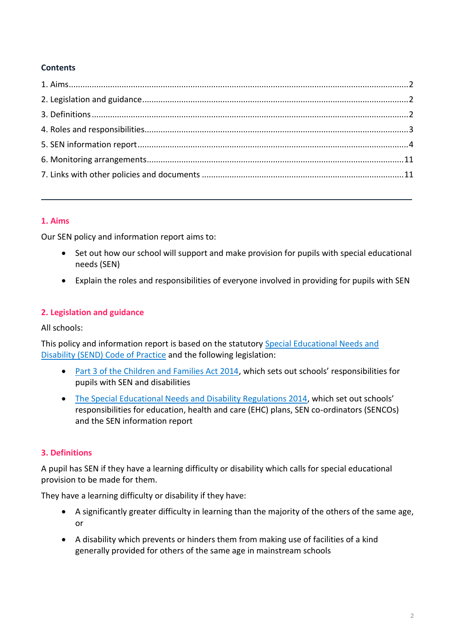# **Contents**

# <span id="page-1-0"></span>**1. Aims**

Our SEN policy and information report aims to:

- Set out how our school will support and make provision for pupils with special educational needs (SEN)
- Explain the roles and responsibilities of everyone involved in providing for pupils with SEN

# <span id="page-1-1"></span>**2. Legislation and guidance**

All schools:

This policy and information report is based on the statutory [Special Educational Needs and](https://www.gov.uk/government/uploads/system/uploads/attachment_data/file/398815/SEND_Code_of_Practice_January_2015.pdf)  [Disability \(SEND\) Code of Practice](https://www.gov.uk/government/uploads/system/uploads/attachment_data/file/398815/SEND_Code_of_Practice_January_2015.pdf) and the following legislation:

- [Part 3 of the Children and Families Act 2014](http://www.legislation.gov.uk/ukpga/2014/6/part/3), which sets out schools' responsibilities for pupils with SEN and disabilities
- [The Special Educational Needs and Disability Regulations 2014](http://www.legislation.gov.uk/uksi/2014/1530/contents/made), which set out schools' responsibilities for education, health and care (EHC) plans, SEN co-ordinators (SENCOs) and the SEN information report

# <span id="page-1-2"></span>**3. Definitions**

A pupil has SEN if they have a learning difficulty or disability which calls for special educational provision to be made for them.

They have a learning difficulty or disability if they have:

- A significantly greater difficulty in learning than the majority of the others of the same age, or
- A disability which prevents or hinders them from making use of facilities of a kind generally provided for others of the same age in mainstream schools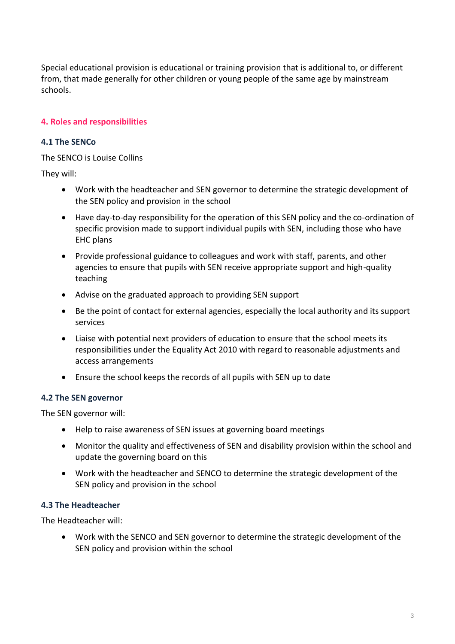Special educational provision is educational or training provision that is additional to, or different from, that made generally for other children or young people of the same age by mainstream schools.

# <span id="page-2-0"></span>**4. Roles and responsibilities**

# **4.1 The SENCo**

The SENCO is Louise Collins

They will:

- Work with the headteacher and SEN governor to determine the strategic development of the SEN policy and provision in the school
- Have day-to-day responsibility for the operation of this SEN policy and the co-ordination of specific provision made to support individual pupils with SEN, including those who have EHC plans
- Provide professional guidance to colleagues and work with staff, parents, and other agencies to ensure that pupils with SEN receive appropriate support and high-quality teaching
- Advise on the graduated approach to providing SEN support
- Be the point of contact for external agencies, especially the local authority and its support services
- Liaise with potential next providers of education to ensure that the school meets its responsibilities under the Equality Act 2010 with regard to reasonable adjustments and access arrangements
- Ensure the school keeps the records of all pupils with SEN up to date

#### **4.2 The SEN governor**

The SEN governor will:

- Help to raise awareness of SEN issues at governing board meetings
- Monitor the quality and effectiveness of SEN and disability provision within the school and update the governing board on this
- Work with the headteacher and SENCO to determine the strategic development of the SEN policy and provision in the school

# **4.3 The Headteacher**

The Headteacher will:

 Work with the SENCO and SEN governor to determine the strategic development of the SEN policy and provision within the school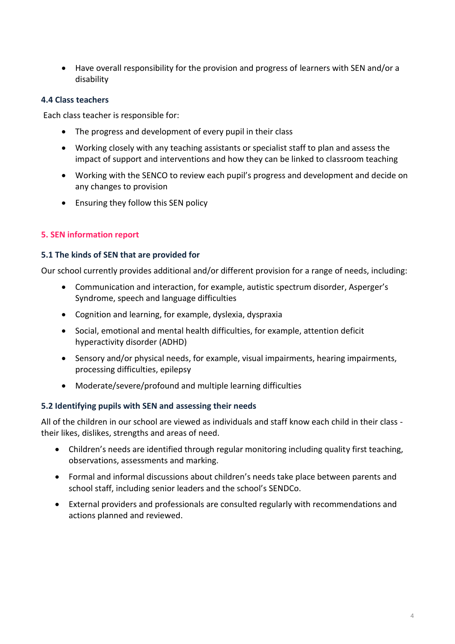Have overall responsibility for the provision and progress of learners with SEN and/or a disability

# **4.4 Class teachers**

Each class teacher is responsible for:

- The progress and development of every pupil in their class
- Working closely with any teaching assistants or specialist staff to plan and assess the impact of support and interventions and how they can be linked to classroom teaching
- Working with the SENCO to review each pupil's progress and development and decide on any changes to provision
- Ensuring they follow this SEN policy

# <span id="page-3-0"></span>**5. SEN information report**

#### **5.1 The kinds of SEN that are provided for**

Our school currently provides additional and/or different provision for a range of needs, including:

- Communication and interaction, for example, autistic spectrum disorder, Asperger's Syndrome, speech and language difficulties
- Cognition and learning, for example, dyslexia, dyspraxia
- Social, emotional and mental health difficulties, for example, attention deficit hyperactivity disorder (ADHD)
- Sensory and/or physical needs, for example, visual impairments, hearing impairments, processing difficulties, epilepsy
- Moderate/severe/profound and multiple learning difficulties

# **5.2 Identifying pupils with SEN and assessing their needs**

All of the children in our school are viewed as individuals and staff know each child in their class their likes, dislikes, strengths and areas of need.

- Children's needs are identified through regular monitoring including quality first teaching, observations, assessments and marking.
- Formal and informal discussions about children's needs take place between parents and school staff, including senior leaders and the school's SENDCo.
- External providers and professionals are consulted regularly with recommendations and actions planned and reviewed.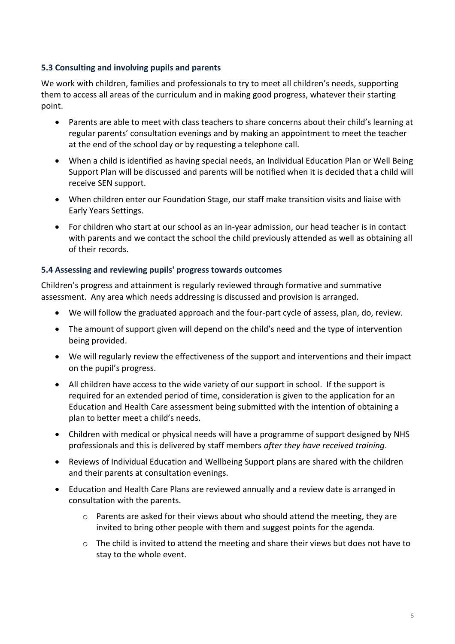# **5.3 Consulting and involving pupils and parents**

We work with children, families and professionals to try to meet all children's needs, supporting them to access all areas of the curriculum and in making good progress, whatever their starting point.

- Parents are able to meet with class teachers to share concerns about their child's learning at regular parents' consultation evenings and by making an appointment to meet the teacher at the end of the school day or by requesting a telephone call.
- When a child is identified as having special needs, an Individual Education Plan or Well Being Support Plan will be discussed and parents will be notified when it is decided that a child will receive SEN support.
- When children enter our Foundation Stage, our staff make transition visits and liaise with Early Years Settings.
- For children who start at our school as an in-year admission, our head teacher is in contact with parents and we contact the school the child previously attended as well as obtaining all of their records.

# **5.4 Assessing and reviewing pupils' progress towards outcomes**

Children's progress and attainment is regularly reviewed through formative and summative assessment. Any area which needs addressing is discussed and provision is arranged.

- We will follow the graduated approach and the four-part cycle of assess, plan, do, review.
- The amount of support given will depend on the child's need and the type of intervention being provided.
- We will regularly review the effectiveness of the support and interventions and their impact on the pupil's progress.
- All children have access to the wide variety of our support in school. If the support is required for an extended period of time, consideration is given to the application for an Education and Health Care assessment being submitted with the intention of obtaining a plan to better meet a child's needs.
- Children with medical or physical needs will have a programme of support designed by NHS professionals and this is delivered by staff members *after they have received training*.
- Reviews of Individual Education and Wellbeing Support plans are shared with the children and their parents at consultation evenings.
- Education and Health Care Plans are reviewed annually and a review date is arranged in consultation with the parents.
	- $\circ$  Parents are asked for their views about who should attend the meeting, they are invited to bring other people with them and suggest points for the agenda.
	- $\circ$  The child is invited to attend the meeting and share their views but does not have to stay to the whole event.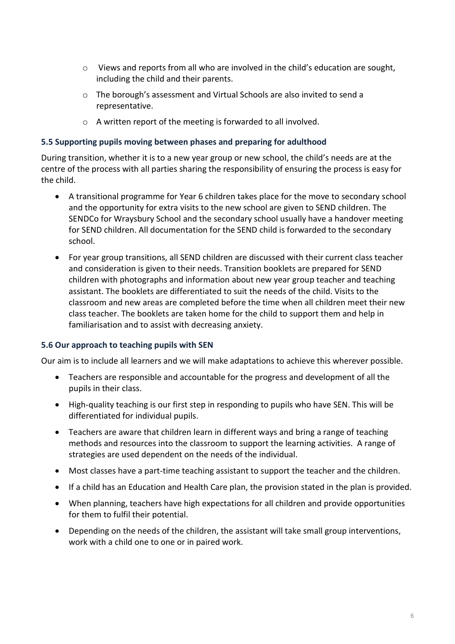- $\circ$  Views and reports from all who are involved in the child's education are sought, including the child and their parents.
- o The borough's assessment and Virtual Schools are also invited to send a representative.
- o A written report of the meeting is forwarded to all involved.

#### **5.5 Supporting pupils moving between phases and preparing for adulthood**

During transition, whether it is to a new year group or new school, the child's needs are at the centre of the process with all parties sharing the responsibility of ensuring the process is easy for the child.

- A transitional programme for Year 6 children takes place for the move to secondary school and the opportunity for extra visits to the new school are given to SEND children. The SENDCo for Wraysbury School and the secondary school usually have a handover meeting for SEND children. All documentation for the SEND child is forwarded to the secondary school.
- For year group transitions, all SEND children are discussed with their current class teacher and consideration is given to their needs. Transition booklets are prepared for SEND children with photographs and information about new year group teacher and teaching assistant. The booklets are differentiated to suit the needs of the child. Visits to the classroom and new areas are completed before the time when all children meet their new class teacher. The booklets are taken home for the child to support them and help in familiarisation and to assist with decreasing anxiety.

#### **5.6 Our approach to teaching pupils with SEN**

Our aim is to include all learners and we will make adaptations to achieve this wherever possible.

- Teachers are responsible and accountable for the progress and development of all the pupils in their class.
- High-quality teaching is our first step in responding to pupils who have SEN. This will be differentiated for individual pupils.
- Teachers are aware that children learn in different ways and bring a range of teaching methods and resources into the classroom to support the learning activities. A range of strategies are used dependent on the needs of the individual.
- Most classes have a part-time teaching assistant to support the teacher and the children.
- If a child has an Education and Health Care plan, the provision stated in the plan is provided.
- When planning, teachers have high expectations for all children and provide opportunities for them to fulfil their potential.
- Depending on the needs of the children, the assistant will take small group interventions, work with a child one to one or in paired work.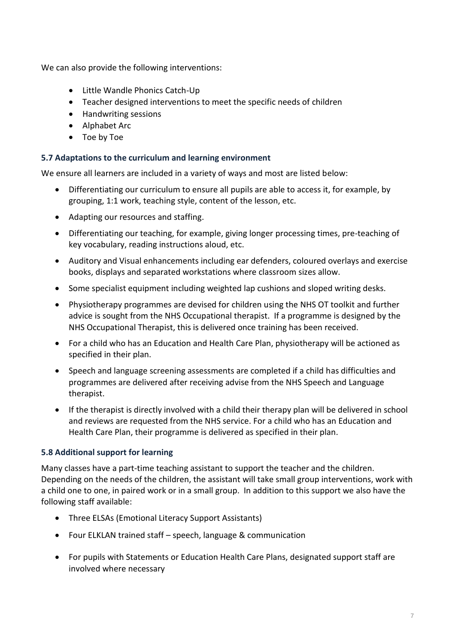We can also provide the following interventions:

- Little Wandle Phonics Catch-Up
- Teacher designed interventions to meet the specific needs of children
- Handwriting sessions
- Alphabet Arc
- Toe by Toe

#### **5.7 Adaptations to the curriculum and learning environment**

We ensure all learners are included in a variety of ways and most are listed below:

- Differentiating our curriculum to ensure all pupils are able to access it, for example, by grouping, 1:1 work, teaching style, content of the lesson, etc.
- Adapting our resources and staffing.
- Differentiating our teaching, for example, giving longer processing times, pre-teaching of key vocabulary, reading instructions aloud, etc.
- Auditory and Visual enhancements including ear defenders, coloured overlays and exercise books, displays and separated workstations where classroom sizes allow.
- Some specialist equipment including weighted lap cushions and sloped writing desks.
- Physiotherapy programmes are devised for children using the NHS OT toolkit and further advice is sought from the NHS Occupational therapist. If a programme is designed by the NHS Occupational Therapist, this is delivered once training has been received.
- For a child who has an Education and Health Care Plan, physiotherapy will be actioned as specified in their plan.
- Speech and language screening assessments are completed if a child has difficulties and programmes are delivered after receiving advise from the NHS Speech and Language therapist.
- If the therapist is directly involved with a child their therapy plan will be delivered in school and reviews are requested from the NHS service. For a child who has an Education and Health Care Plan, their programme is delivered as specified in their plan.

# **5.8 Additional support for learning**

Many classes have a part-time teaching assistant to support the teacher and the children. Depending on the needs of the children, the assistant will take small group interventions, work with a child one to one, in paired work or in a small group. In addition to this support we also have the following staff available:

- Three ELSAs (Emotional Literacy Support Assistants)
- Four ELKLAN trained staff speech, language & communication
- For pupils with Statements or Education Health Care Plans, designated support staff are involved where necessary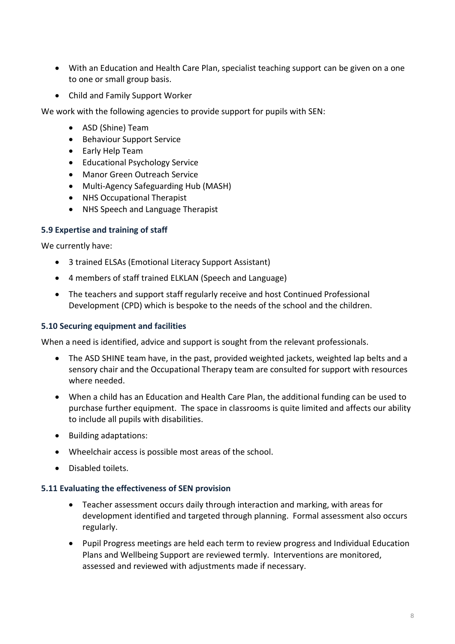- With an Education and Health Care Plan, specialist teaching support can be given on a one to one or small group basis.
- Child and Family Support Worker

We work with the following agencies to provide support for pupils with SEN:

- ASD (Shine) Team
- **•** Behaviour Support Service
- Early Help Team
- Educational Psychology Service
- Manor Green Outreach Service
- Multi-Agency Safeguarding Hub (MASH)
- NHS Occupational Therapist
- NHS Speech and Language Therapist

# **5.9 Expertise and training of staff**

We currently have:

- 3 trained ELSAs (Emotional Literacy Support Assistant)
- 4 members of staff trained ELKLAN (Speech and Language)
- The teachers and support staff regularly receive and host Continued Professional Development (CPD) which is bespoke to the needs of the school and the children.

#### **5.10 Securing equipment and facilities**

When a need is identified, advice and support is sought from the relevant professionals.

- The ASD SHINE team have, in the past, provided weighted jackets, weighted lap belts and a sensory chair and the Occupational Therapy team are consulted for support with resources where needed.
- When a child has an Education and Health Care Plan, the additional funding can be used to purchase further equipment. The space in classrooms is quite limited and affects our ability to include all pupils with disabilities.
- Building adaptations:
- Wheelchair access is possible most areas of the school.
- Disabled toilets.

#### **5.11 Evaluating the effectiveness of SEN provision**

- Teacher assessment occurs daily through interaction and marking, with areas for development identified and targeted through planning. Formal assessment also occurs regularly.
- Pupil Progress meetings are held each term to review progress and Individual Education Plans and Wellbeing Support are reviewed termly. Interventions are monitored, assessed and reviewed with adjustments made if necessary.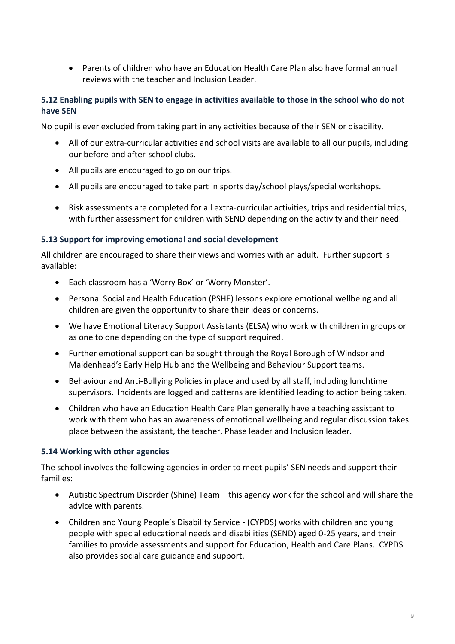Parents of children who have an Education Health Care Plan also have formal annual reviews with the teacher and Inclusion Leader.

# **5.12 Enabling pupils with SEN to engage in activities available to those in the school who do not have SEN**

No pupil is ever excluded from taking part in any activities because of their SEN or disability.

- All of our extra-curricular activities and school visits are available to all our pupils, including our before-and after-school clubs.
- All pupils are encouraged to go on our trips.
- All pupils are encouraged to take part in sports day/school plays/special workshops.
- Risk assessments are completed for all extra-curricular activities, trips and residential trips, with further assessment for children with SEND depending on the activity and their need.

#### **5.13 Support for improving emotional and social development**

All children are encouraged to share their views and worries with an adult. Further support is available:

- Each classroom has a 'Worry Box' or 'Worry Monster'.
- Personal Social and Health Education (PSHE) lessons explore emotional wellbeing and all children are given the opportunity to share their ideas or concerns.
- We have Emotional Literacy Support Assistants (ELSA) who work with children in groups or as one to one depending on the type of support required.
- Further emotional support can be sought through the Royal Borough of Windsor and Maidenhead's Early Help Hub and the Wellbeing and Behaviour Support teams.
- Behaviour and Anti-Bullying Policies in place and used by all staff, including lunchtime supervisors. Incidents are logged and patterns are identified leading to action being taken.
- Children who have an Education Health Care Plan generally have a teaching assistant to work with them who has an awareness of emotional wellbeing and regular discussion takes place between the assistant, the teacher, Phase leader and Inclusion leader.

#### **5.14 Working with other agencies**

The school involves the following agencies in order to meet pupils' SEN needs and support their families:

- Autistic Spectrum Disorder (Shine) Team this agency work for the school and will share the advice with parents.
- Children and Young People's Disability Service (CYPDS) works with children and young people with special educational needs and disabilities (SEND) aged 0-25 years, and their families to provide assessments and support for Education, Health and Care Plans. CYPDS also provides social care guidance and support.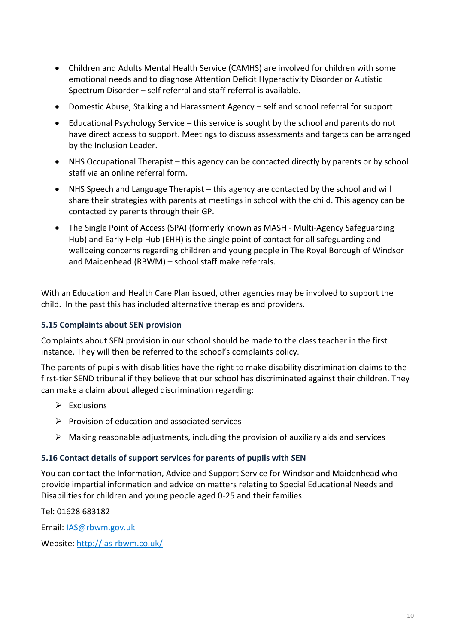- Children and Adults Mental Health Service (CAMHS) are involved for children with some emotional needs and to diagnose Attention Deficit Hyperactivity Disorder or Autistic Spectrum Disorder – self referral and staff referral is available.
- Domestic Abuse, Stalking and Harassment Agency self and school referral for support
- Educational Psychology Service this service is sought by the school and parents do not have direct access to support. Meetings to discuss assessments and targets can be arranged by the Inclusion Leader.
- NHS Occupational Therapist this agency can be contacted directly by parents or by school staff via an online referral form.
- NHS Speech and Language Therapist this agency are contacted by the school and will share their strategies with parents at meetings in school with the child. This agency can be contacted by parents through their GP.
- The Single Point of Access (SPA) (formerly known as MASH Multi-Agency Safeguarding Hub) and Early Help Hub (EHH) is the single point of contact for all safeguarding and wellbeing concerns regarding children and young people in The Royal Borough of Windsor and Maidenhead (RBWM) – school staff make referrals.

With an Education and Health Care Plan issued, other agencies may be involved to support the child. In the past this has included alternative therapies and providers.

# **5.15 Complaints about SEN provision**

Complaints about SEN provision in our school should be made to the class teacher in the first instance. They will then be referred to the school's complaints policy.

The parents of pupils with disabilities have the right to make disability discrimination claims to the first-tier SEND tribunal if they believe that our school has discriminated against their children. They can make a claim about alleged discrimination regarding:

- $\triangleright$  Exclusions
- $\triangleright$  Provision of education and associated services
- $\triangleright$  Making reasonable adjustments, including the provision of auxiliary aids and services

#### **5.16 Contact details of support services for parents of pupils with SEN**

You can contact the Information, Advice and Support Service for Windsor and Maidenhead who provide impartial information and advice on matters relating to Special Educational Needs and Disabilities for children and young people aged 0-25 and their families

Tel: 01628 683182

Email: [IAS@rbwm.gov.uk](mailto:IAS@rbwm.gov.uk)

Website:<http://ias-rbwm.co.uk/>